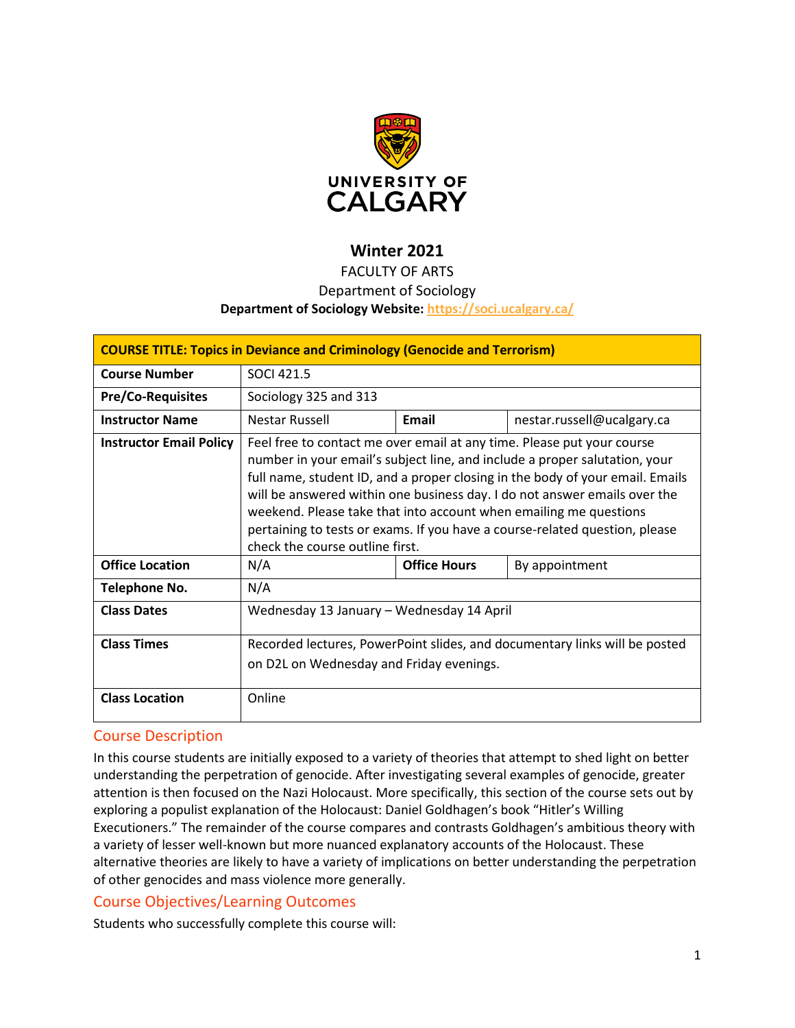

# **Winter 2021**

### FACULTY OF ARTS

#### Department of Sociology

#### **Department of Sociology Website:<https://soci.ucalgary.ca/>**

| <b>COURSE TITLE: Topics in Deviance and Criminology (Genocide and Terrorism)</b> |                                                                                                                                                                                                                                                                                                                                                                                                                                                                                                           |                     |                            |  |  |  |
|----------------------------------------------------------------------------------|-----------------------------------------------------------------------------------------------------------------------------------------------------------------------------------------------------------------------------------------------------------------------------------------------------------------------------------------------------------------------------------------------------------------------------------------------------------------------------------------------------------|---------------------|----------------------------|--|--|--|
| <b>Course Number</b>                                                             | SOCI 421.5                                                                                                                                                                                                                                                                                                                                                                                                                                                                                                |                     |                            |  |  |  |
| <b>Pre/Co-Requisites</b>                                                         | Sociology 325 and 313                                                                                                                                                                                                                                                                                                                                                                                                                                                                                     |                     |                            |  |  |  |
| <b>Instructor Name</b>                                                           | Nestar Russell                                                                                                                                                                                                                                                                                                                                                                                                                                                                                            | Email               | nestar.russell@ucalgary.ca |  |  |  |
| <b>Instructor Email Policy</b>                                                   | Feel free to contact me over email at any time. Please put your course<br>number in your email's subject line, and include a proper salutation, your<br>full name, student ID, and a proper closing in the body of your email. Emails<br>will be answered within one business day. I do not answer emails over the<br>weekend. Please take that into account when emailing me questions<br>pertaining to tests or exams. If you have a course-related question, please<br>check the course outline first. |                     |                            |  |  |  |
| <b>Office Location</b>                                                           | N/A                                                                                                                                                                                                                                                                                                                                                                                                                                                                                                       | <b>Office Hours</b> | By appointment             |  |  |  |
| Telephone No.                                                                    | N/A                                                                                                                                                                                                                                                                                                                                                                                                                                                                                                       |                     |                            |  |  |  |
| <b>Class Dates</b>                                                               | Wednesday 13 January - Wednesday 14 April                                                                                                                                                                                                                                                                                                                                                                                                                                                                 |                     |                            |  |  |  |
| <b>Class Times</b>                                                               | Recorded lectures, PowerPoint slides, and documentary links will be posted<br>on D2L on Wednesday and Friday evenings.                                                                                                                                                                                                                                                                                                                                                                                    |                     |                            |  |  |  |
| <b>Class Location</b>                                                            | Online                                                                                                                                                                                                                                                                                                                                                                                                                                                                                                    |                     |                            |  |  |  |

### Course Description

In this course students are initially exposed to a variety of theories that attempt to shed light on better understanding the perpetration of genocide. After investigating several examples of genocide, greater attention is then focused on the Nazi Holocaust. More specifically, this section of the course sets out by exploring a populist explanation of the Holocaust: Daniel Goldhagen's book "Hitler's Willing Executioners." The remainder of the course compares and contrasts Goldhagen's ambitious theory with a variety of lesser well-known but more nuanced explanatory accounts of the Holocaust. These alternative theories are likely to have a variety of implications on better understanding the perpetration of other genocides and mass violence more generally.

### Course Objectives/Learning Outcomes

Students who successfully complete this course will: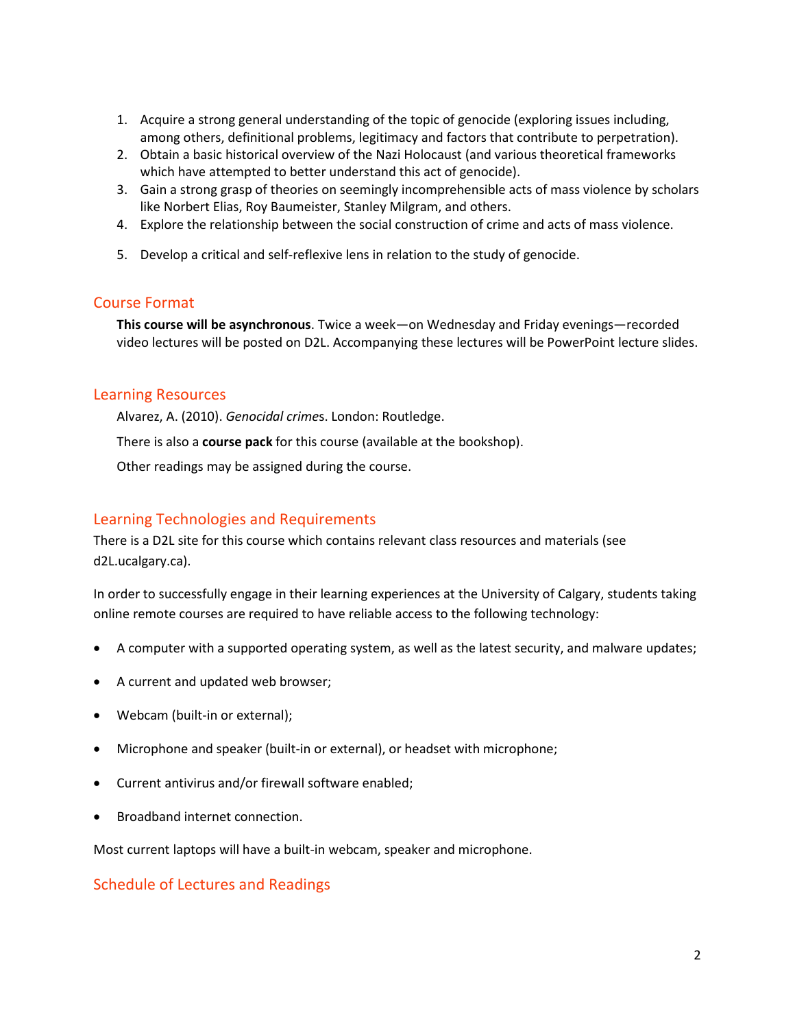- 1. Acquire a strong general understanding of the topic of genocide (exploring issues including, among others, definitional problems, legitimacy and factors that contribute to perpetration).
- 2. Obtain a basic historical overview of the Nazi Holocaust (and various theoretical frameworks which have attempted to better understand this act of genocide).
- 3. Gain a strong grasp of theories on seemingly incomprehensible acts of mass violence by scholars like Norbert Elias, Roy Baumeister, Stanley Milgram, and others.
- 4. Explore the relationship between the social construction of crime and acts of mass violence.
- 5. Develop a critical and self-reflexive lens in relation to the study of genocide.

#### Course Format

**This course will be asynchronous**. Twice a week—on Wednesday and Friday evenings—recorded video lectures will be posted on D2L. Accompanying these lectures will be PowerPoint lecture slides.

#### Learning Resources

Alvarez, A. (2010). *Genocidal crime*s. London: Routledge.

There is also a **course pack** for this course (available at the bookshop).

Other readings may be assigned during the course.

### Learning Technologies and Requirements

There is a D2L site for this course which contains relevant class resources and materials (see d2L.ucalgary.ca).

In order to successfully engage in their learning experiences at the University of Calgary, students taking online remote courses are required to have reliable access to the following technology:

- A computer with a supported operating system, as well as the latest security, and malware updates;
- A current and updated web browser;
- Webcam (built-in or external);
- Microphone and speaker (built-in or external), or headset with microphone;
- Current antivirus and/or firewall software enabled;
- Broadband internet connection.

Most current laptops will have a built-in webcam, speaker and microphone.

### Schedule of Lectures and Readings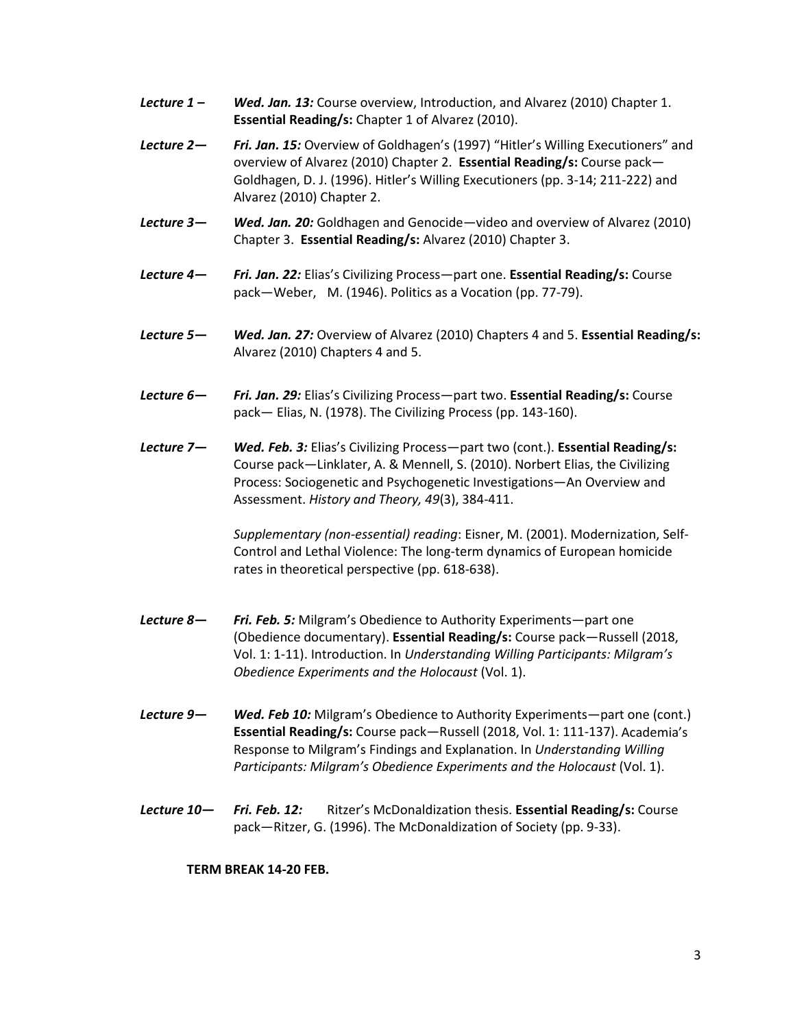- *Lecture 1 – Wed. Jan. 13:* Course overview, Introduction, and Alvarez (2010) Chapter 1. **Essential Reading/s:** Chapter 1 of Alvarez (2010).
- *Lecture 2— Fri. Jan. 15:* Overview of Goldhagen's (1997) "Hitler's Willing Executioners" and overview of Alvarez (2010) Chapter 2. **Essential Reading/s:** Course pack— Goldhagen, D. J. (1996). Hitler's Willing Executioners (pp. 3-14; 211-222) and Alvarez (2010) Chapter 2.
- *Lecture 3— Wed. Jan. 20:* Goldhagen and Genocide—video and overview of Alvarez (2010) Chapter 3. **Essential Reading/s:** Alvarez (2010) Chapter 3.
- *Lecture 4— Fri. Jan. 22:* Elias's Civilizing Process—part one. **Essential Reading/s:** Course pack—Weber, M. (1946). Politics as a Vocation (pp. 77-79).
- *Lecture 5— Wed. Jan. 27:* Overview of Alvarez (2010) Chapters 4 and 5. **Essential Reading/s:** Alvarez (2010) Chapters 4 and 5.
- *Lecture 6— Fri. Jan. 29:* Elias's Civilizing Process—part two. **Essential Reading/s:** Course pack— Elias, N. (1978). The Civilizing Process (pp. 143-160).
- *Lecture 7— Wed. Feb. 3:* Elias's Civilizing Process—part two (cont.). **Essential Reading/s:** Course pack—Linklater, A. & Mennell, S. (2010). Norbert Elias, the Civilizing Process: Sociogenetic and Psychogenetic Investigations—An Overview and Assessment. *History and Theory, 49*(3), 384-411.

*Supplementary (non-essential) reading*: Eisner, M. (2001). Modernization, Self-Control and Lethal Violence: The long-term dynamics of European homicide rates in theoretical perspective (pp. 618-638).

- *Lecture 8— Fri. Feb. 5:* Milgram's Obedience to Authority Experiments—part one (Obedience documentary). **Essential Reading/s:** Course pack—Russell (2018, Vol. 1: 1-11). Introduction. In *Understanding Willing Participants: Milgram's Obedience Experiments and the Holocaust* (Vol. 1).
- *Lecture 9— Wed. Feb 10:* Milgram's Obedience to Authority Experiments—part one (cont.) **Essential Reading/s:** Course pack—Russell (2018, Vol. 1: 111-137). Academia's Response to Milgram's Findings and Explanation. In *Understanding Willing Participants: Milgram's Obedience Experiments and the Holocaust* (Vol. 1).
- *Lecture 10— Fri. Feb. 12:* Ritzer's McDonaldization thesis. **Essential Reading/s:** Course pack—Ritzer, G. (1996). The McDonaldization of Society (pp. 9-33).

**TERM BREAK 14-20 FEB.**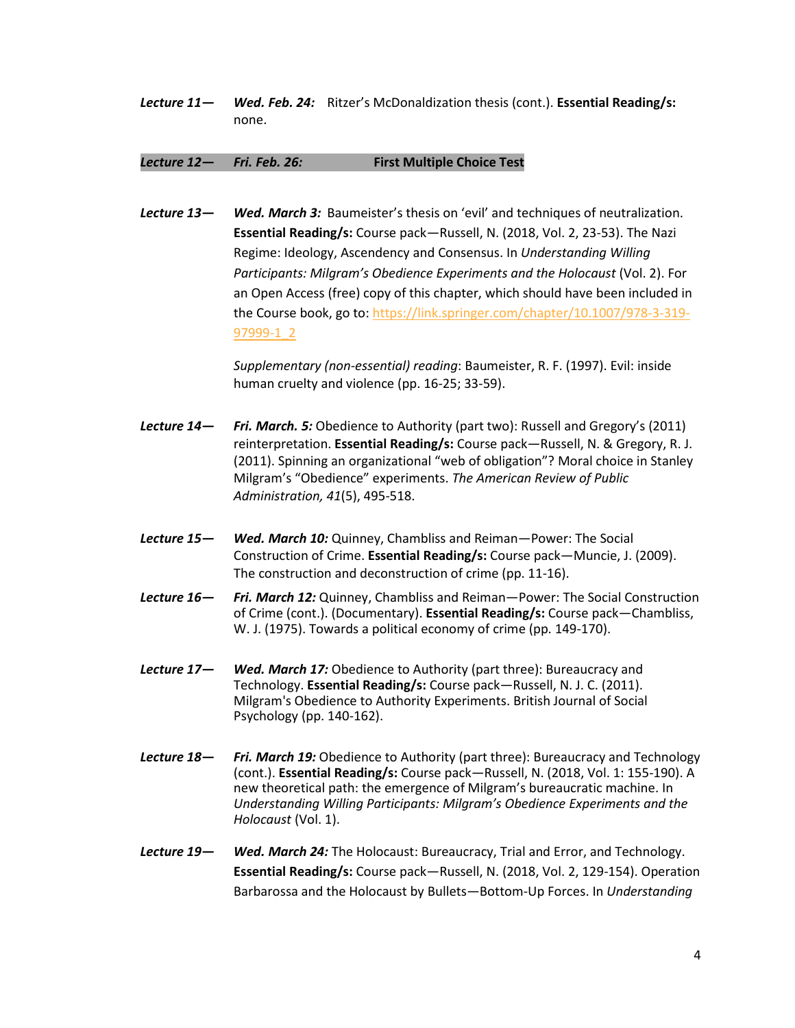*Lecture 11— Wed. Feb. 24:* Ritzer's McDonaldization thesis (cont.). **Essential Reading/s:** none.

#### *Lecture 12— Fri. Feb. 26:* **First Multiple Choice Test**

*Lecture 13— Wed. March 3:* Baumeister's thesis on 'evil' and techniques of neutralization. **Essential Reading/s:** Course pack—Russell, N. (2018, Vol. 2, 23-53). The Nazi Regime: Ideology, Ascendency and Consensus. In *Understanding Willing Participants: Milgram's Obedience Experiments and the Holocaust* (Vol. 2). For an Open Access (free) copy of this chapter, which should have been included in the Course book, go to: [https://link.springer.com/chapter/10.1007/978-3-319-](https://link.springer.com/chapter/10.1007/978-3-319-97999-1_2) [97999-1\\_2](https://link.springer.com/chapter/10.1007/978-3-319-97999-1_2)

> *Supplementary (non-essential) reading*: Baumeister, R. F. (1997). Evil: inside human cruelty and violence (pp. 16-25; 33-59).

- *Lecture 14— Fri. March. 5:* Obedience to Authority (part two): Russell and Gregory's (2011) reinterpretation. **Essential Reading/s:** Course pack—Russell, N. & Gregory, R. J. (2011). Spinning an organizational "web of obligation"? Moral choice in Stanley Milgram's "Obedience" experiments. *The American Review of Public Administration, 41*(5), 495-518.
- *Lecture 15— Wed. March 10:* Quinney, Chambliss and Reiman—Power: The Social Construction of Crime. **Essential Reading/s:** Course pack—Muncie, J. (2009). The construction and deconstruction of crime (pp. 11-16).
- *Lecture 16— Fri. March 12:* Quinney, Chambliss and Reiman—Power: The Social Construction of Crime (cont.). (Documentary). **Essential Reading/s:** Course pack—Chambliss, W. J. (1975). Towards a political economy of crime (pp. 149-170).
- *Lecture 17— Wed. March 17:* Obedience to Authority (part three): Bureaucracy and Technology. **Essential Reading/s:** Course pack—Russell, N. J. C. (2011). Milgram's Obedience to Authority Experiments. British Journal of Social Psychology (pp. 140-162).
- *Lecture 18— Fri. March 19:* Obedience to Authority (part three): Bureaucracy and Technology (cont.). **Essential Reading/s:** Course pack—Russell, N. (2018, Vol. 1: 155-190). A new theoretical path: the emergence of Milgram's bureaucratic machine. In *Understanding Willing Participants: Milgram's Obedience Experiments and the Holocaust* (Vol. 1).
- *Lecture 19— Wed. March 24:* The Holocaust: Bureaucracy, Trial and Error, and Technology. **Essential Reading/s:** Course pack—Russell, N. (2018, Vol. 2, 129-154). Operation Barbarossa and the Holocaust by Bullets—Bottom-Up Forces. In *Understanding*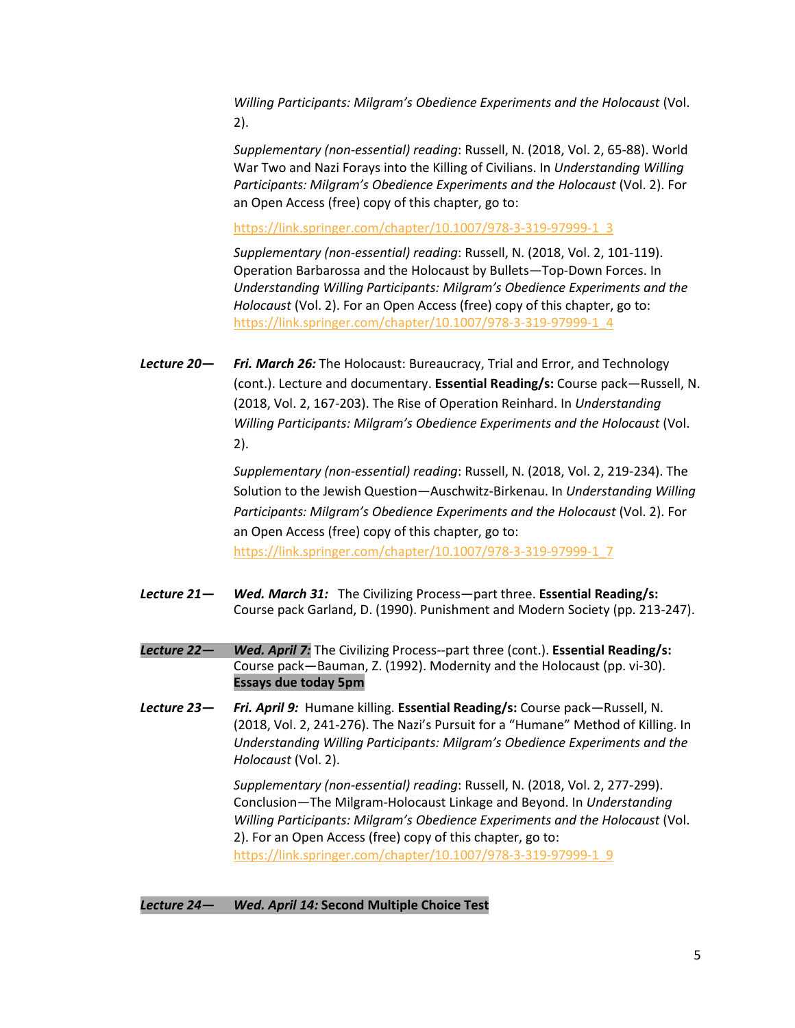*Willing Participants: Milgram's Obedience Experiments and the Holocaust* (Vol. 2).

*Supplementary (non-essential) reading*: Russell, N. (2018, Vol. 2, 65-88). World War Two and Nazi Forays into the Killing of Civilians. In *Understanding Willing Participants: Milgram's Obedience Experiments and the Holocaust* (Vol. 2). For an Open Access (free) copy of this chapter, go to:

[https://link.springer.com/chapter/10.1007/978-3-319-97999-1\\_3](https://link.springer.com/chapter/10.1007/978-3-319-97999-1_3)

*Supplementary (non-essential) reading*: Russell, N. (2018, Vol. 2, 101-119). Operation Barbarossa and the Holocaust by Bullets—Top-Down Forces. In *Understanding Willing Participants: Milgram's Obedience Experiments and the Holocaust* (Vol. 2). For an Open Access (free) copy of this chapter, go to: [https://link.springer.com/chapter/10.1007/978-3-319-97999-1\\_4](https://link.springer.com/chapter/10.1007/978-3-319-97999-1_4)

*Lecture 20— Fri. March 26:* The Holocaust: Bureaucracy, Trial and Error, and Technology (cont.). Lecture and documentary. **Essential Reading/s:** Course pack—Russell, N. (2018, Vol. 2, 167-203). The Rise of Operation Reinhard. In *Understanding Willing Participants: Milgram's Obedience Experiments and the Holocaust* (Vol. 2).

> *Supplementary (non-essential) reading*: Russell, N. (2018, Vol. 2, 219-234). The Solution to the Jewish Question—Auschwitz-Birkenau. In *Understanding Willing Participants: Milgram's Obedience Experiments and the Holocaust* (Vol. 2). For an Open Access (free) copy of this chapter, go to: [https://link.springer.com/chapter/10.1007/978-3-319-97999-1\\_7](https://link.springer.com/chapter/10.1007/978-3-319-97999-1_7)

- *Lecture 21— Wed. March 31:* The Civilizing Process—part three. **Essential Reading/s:** Course pack Garland, D. (1990). Punishment and Modern Society (pp. 213-247).
- *Lecture 22— Wed. April 7:* The Civilizing Process--part three (cont.). **Essential Reading/s:** Course pack—Bauman, Z. (1992). Modernity and the Holocaust (pp. vi-30). **Essays due today 5pm**
- *Lecture 23— Fri. April 9:* Humane killing. **Essential Reading/s:** Course pack—Russell, N. (2018, Vol. 2, 241-276). The Nazi's Pursuit for a "Humane" Method of Killing. In *Understanding Willing Participants: Milgram's Obedience Experiments and the Holocaust* (Vol. 2).

*Supplementary (non-essential) reading*: Russell, N. (2018, Vol. 2, 277-299). Conclusion—The Milgram-Holocaust Linkage and Beyond. In *Understanding Willing Participants: Milgram's Obedience Experiments and the Holocaust* (Vol. 2). For an Open Access (free) copy of this chapter, go to: [https://link.springer.com/chapter/10.1007/978-3-319-97999-1\\_9](https://link.springer.com/chapter/10.1007/978-3-319-97999-1_9)

#### *Lecture 24— Wed. April 14:* **Second Multiple Choice Test**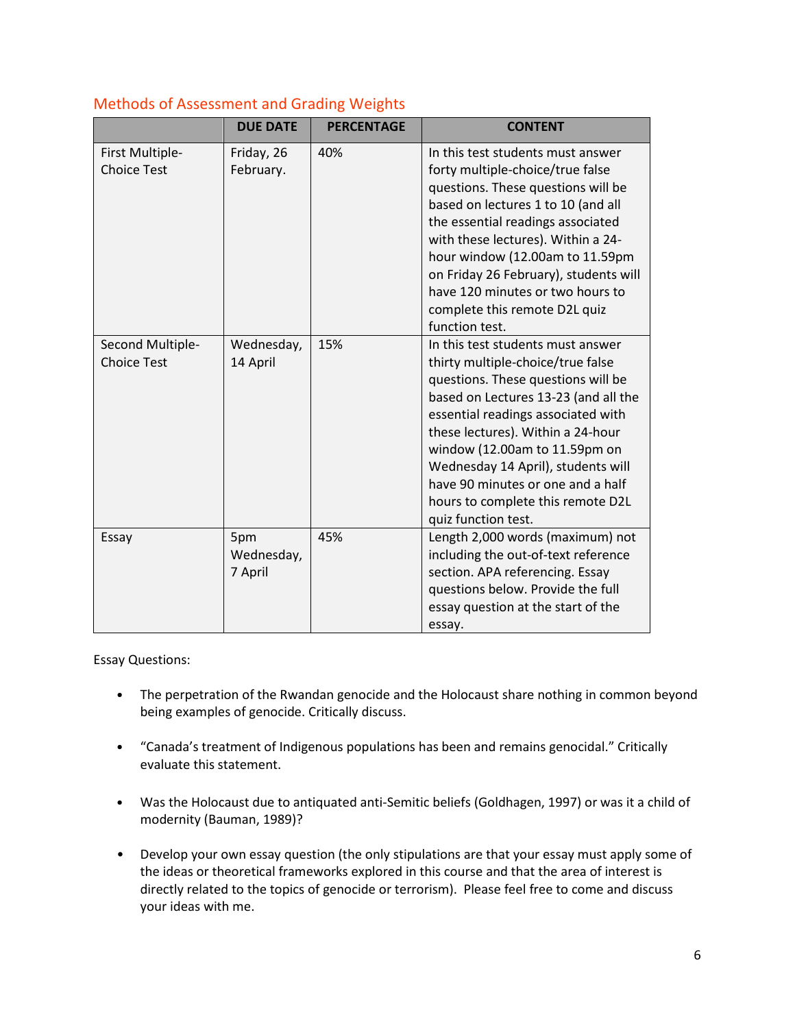|                                        | <b>DUE DATE</b>              | <b>PERCENTAGE</b> | <b>CONTENT</b>                                                                                                                                                                                                                                                                                                                                                                                          |
|----------------------------------------|------------------------------|-------------------|---------------------------------------------------------------------------------------------------------------------------------------------------------------------------------------------------------------------------------------------------------------------------------------------------------------------------------------------------------------------------------------------------------|
| First Multiple-<br><b>Choice Test</b>  | Friday, 26<br>February.      | 40%               | In this test students must answer<br>forty multiple-choice/true false<br>questions. These questions will be<br>based on lectures 1 to 10 (and all<br>the essential readings associated<br>with these lectures). Within a 24-<br>hour window (12.00am to 11.59pm<br>on Friday 26 February), students will<br>have 120 minutes or two hours to<br>complete this remote D2L quiz<br>function test.         |
| Second Multiple-<br><b>Choice Test</b> | Wednesday,<br>14 April       | 15%               | In this test students must answer<br>thirty multiple-choice/true false<br>questions. These questions will be<br>based on Lectures 13-23 (and all the<br>essential readings associated with<br>these lectures). Within a 24-hour<br>window (12.00am to 11.59pm on<br>Wednesday 14 April), students will<br>have 90 minutes or one and a half<br>hours to complete this remote D2L<br>quiz function test. |
| Essay                                  | 5pm<br>Wednesday,<br>7 April | 45%               | Length 2,000 words (maximum) not<br>including the out-of-text reference<br>section. APA referencing. Essay<br>questions below. Provide the full<br>essay question at the start of the<br>essay.                                                                                                                                                                                                         |

## Methods of Assessment and Grading Weights

Essay Questions:

- The perpetration of the Rwandan genocide and the Holocaust share nothing in common beyond being examples of genocide. Critically discuss.
- "Canada's treatment of Indigenous populations has been and remains genocidal." Critically evaluate this statement.
- Was the Holocaust due to antiquated anti-Semitic beliefs (Goldhagen, 1997) or was it a child of modernity (Bauman, 1989)?
- Develop your own essay question (the only stipulations are that your essay must apply some of the ideas or theoretical frameworks explored in this course and that the area of interest is directly related to the topics of genocide or terrorism). Please feel free to come and discuss your ideas with me.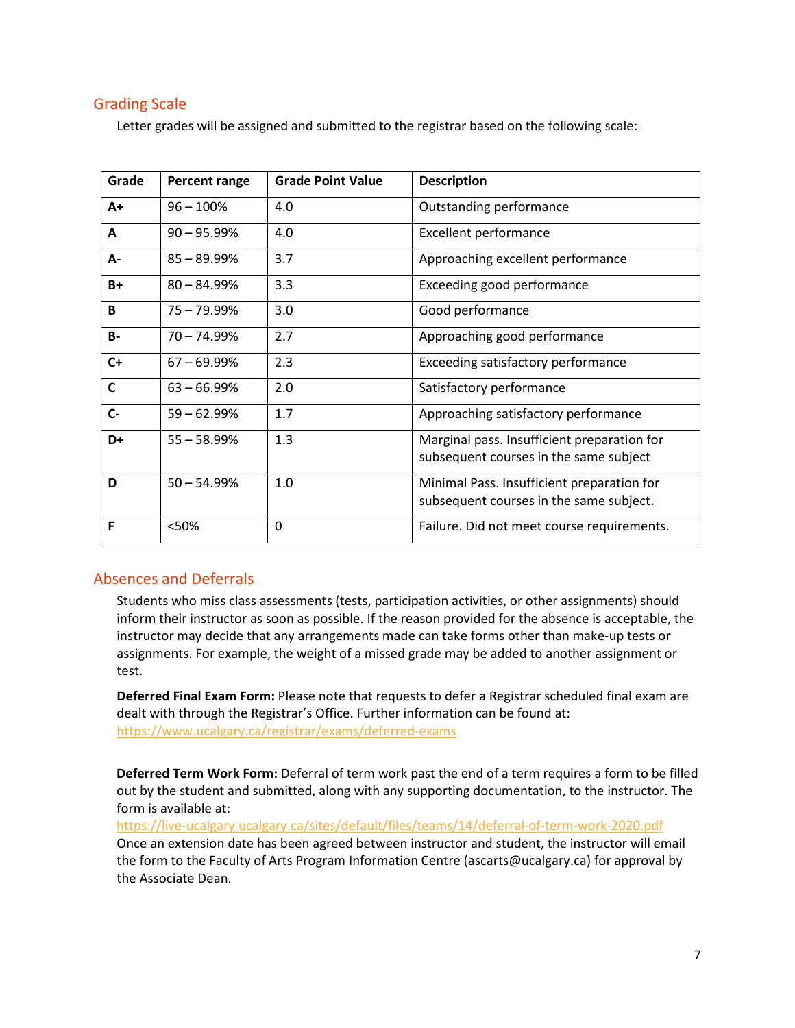### Grading Scale

Letter grades will be assigned and submitted to the registrar based on the following scale:

| Grade        | Percent range  | <b>Grade Point Value</b> | <b>Description</b>                                                                    |
|--------------|----------------|--------------------------|---------------------------------------------------------------------------------------|
| $A+$         | $96 - 100%$    | 4.0                      | Outstanding performance                                                               |
| A            | $90 - 95.99%$  | 4.0                      | <b>Excellent performance</b>                                                          |
| А-           | $85 - 89.99%$  | 3.7                      | Approaching excellent performance                                                     |
| $B+$         | $80 - 84.99%$  | 3.3                      | Exceeding good performance                                                            |
| B            | $75 - 79.99%$  | 3.0                      | Good performance                                                                      |
| <b>B-</b>    | $70 - 74.99%$  | 2.7                      | Approaching good performance                                                          |
| $C+$         | $67 - 69.99\%$ | 2.3                      | Exceeding satisfactory performance                                                    |
| $\mathsf{C}$ | $63 - 66.99%$  | 2.0                      | Satisfactory performance                                                              |
| $C -$        | $59 - 62.99%$  | 1.7                      | Approaching satisfactory performance                                                  |
| D+           | $55 - 58.99%$  | 1.3                      | Marginal pass. Insufficient preparation for<br>subsequent courses in the same subject |
| D            | $50 - 54.99%$  | 1.0                      | Minimal Pass. Insufficient preparation for<br>subsequent courses in the same subject. |
| F            | <50%           | 0                        | Failure. Did not meet course requirements.                                            |

### Absences and Deferrals

Students who miss class assessments (tests, participation activities, or other assignments) should inform their instructor as soon as possible. If the reason provided for the absence is acceptable, the instructor may decide that any arrangements made can take forms other than make-up tests or assignments. For example, the weight of a missed grade may be added to another assignment or test.

**Deferred Final Exam Form:** Please note that requests to defer a Registrar scheduled final exam are dealt with through the Registrar's Office. Further information can be found at: <https://www.ucalgary.ca/registrar/exams/deferred-exams>

**Deferred Term Work Form:** Deferral of term work past the end of a term requires a form to be filled out by the student and submitted, along with any supporting documentation, to the instructor. The form is available at:

<https://live-ucalgary.ucalgary.ca/sites/default/files/teams/14/deferral-of-term-work-2020.pdf> Once an extension date has been agreed between instructor and student, the instructor will email the form to the Faculty of Arts Program Information Centre (ascarts@ucalgary.ca) for approval by the Associate Dean.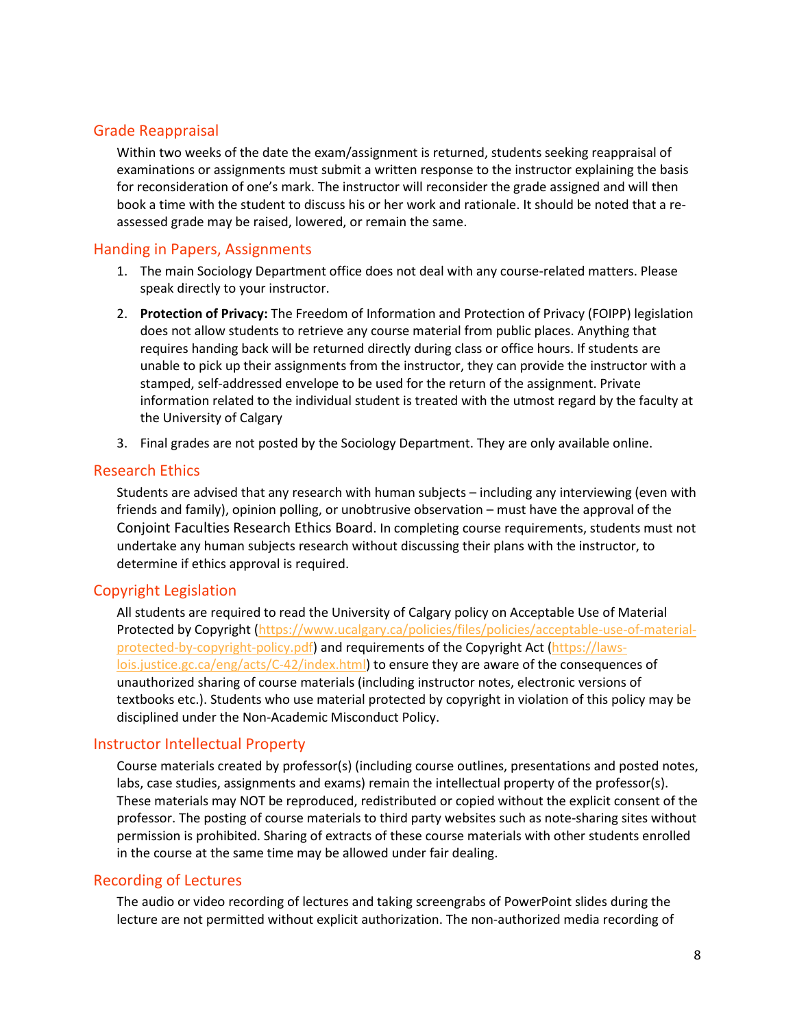### Grade Reappraisal

Within two weeks of the date the exam/assignment is returned, students seeking reappraisal of examinations or assignments must submit a written response to the instructor explaining the basis for reconsideration of one's mark. The instructor will reconsider the grade assigned and will then book a time with the student to discuss his or her work and rationale. It should be noted that a reassessed grade may be raised, lowered, or remain the same.

### Handing in Papers, Assignments

- 1. The main Sociology Department office does not deal with any course-related matters. Please speak directly to your instructor.
- 2. **Protection of Privacy:** The Freedom of Information and Protection of Privacy (FOIPP) legislation does not allow students to retrieve any course material from public places. Anything that requires handing back will be returned directly during class or office hours. If students are unable to pick up their assignments from the instructor, they can provide the instructor with a stamped, self-addressed envelope to be used for the return of the assignment. Private information related to the individual student is treated with the utmost regard by the faculty at the University of Calgary
- 3. Final grades are not posted by the Sociology Department. They are only available online.

#### Research Ethics

Students are advised that any research with human subjects – including any interviewing (even with friends and family), opinion polling, or unobtrusive observation – must have the approval of the Conjoint Faculties Research Ethics Board. In completing course requirements, students must not undertake any human subjects research without discussing their plans with the instructor, to determine if ethics approval is required.

### Copyright Legislation

All students are required to read the University of Calgary policy on Acceptable Use of Material Protected by Copyright [\(https://www.ucalgary.ca/policies/files/policies/acceptable-use-of-material](https://www.ucalgary.ca/policies/files/policies/acceptable-use-of-material-protected-by-copyright-policy.pdf)[protected-by-copyright-policy.pdf\)](https://www.ucalgary.ca/policies/files/policies/acceptable-use-of-material-protected-by-copyright-policy.pdf) and requirements of the Copyright Act [\(https://laws](https://laws-lois.justice.gc.ca/eng/acts/C-42/index.html)[lois.justice.gc.ca/eng/acts/C-42/index.html\)](https://laws-lois.justice.gc.ca/eng/acts/C-42/index.html) to ensure they are aware of the consequences of unauthorized sharing of course materials (including instructor notes, electronic versions of textbooks etc.). Students who use material protected by copyright in violation of this policy may be disciplined under the Non-Academic Misconduct Policy.

#### Instructor Intellectual Property

Course materials created by professor(s) (including course outlines, presentations and posted notes, labs, case studies, assignments and exams) remain the intellectual property of the professor(s). These materials may NOT be reproduced, redistributed or copied without the explicit consent of the professor. The posting of course materials to third party websites such as note-sharing sites without permission is prohibited. Sharing of extracts of these course materials with other students enrolled in the course at the same time may be allowed under fair dealing.

#### Recording of Lectures

The audio or video recording of lectures and taking screengrabs of PowerPoint slides during the lecture are not permitted without explicit authorization. The non-authorized media recording of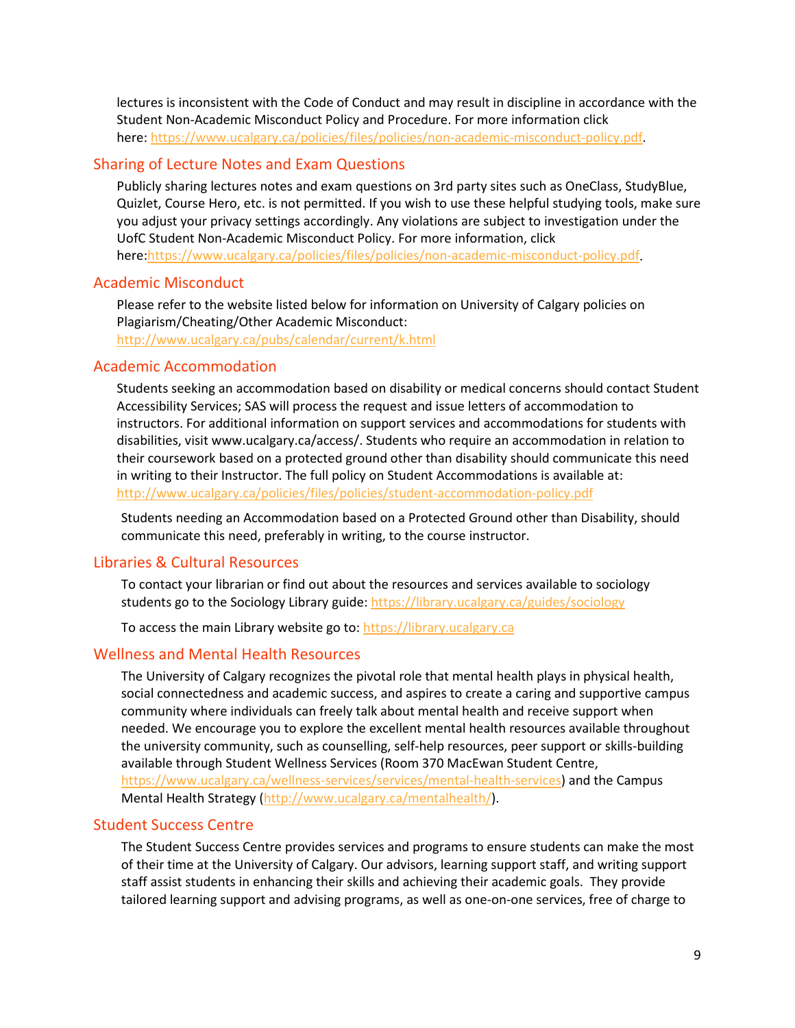lectures is inconsistent with the Code of Conduct and may result in discipline in accordance with the Student Non-Academic Misconduct Policy and Procedure. For more information click here: [https://www.ucalgary.ca/policies/files/policies/non-academic-misconduct-policy.pdf.](https://www.ucalgary.ca/policies/files/policies/non-academic-misconduct-policy.pdf)

### Sharing of Lecture Notes and Exam Questions

Publicly sharing lectures notes and exam questions on 3rd party sites such as OneClass, StudyBlue, Quizlet, Course Hero, etc. is not permitted. If you wish to use these helpful studying tools, make sure you adjust your privacy settings accordingly. Any violations are subject to investigation under the UofC Student Non-Academic Misconduct Policy. For more information, click here[:https://www.ucalgary.ca/policies/files/policies/non-academic-misconduct-policy.pdf.](https://www.ucalgary.ca/policies/files/policies/non-academic-misconduct-policy.pdf)

### Academic Misconduct

Please refer to the website listed below for information on University of Calgary policies on Plagiarism/Cheating/Other Academic Misconduct: <http://www.ucalgary.ca/pubs/calendar/current/k.html>

### Academic Accommodation

Students seeking an accommodation based on disability or medical concerns should contact Student Accessibility Services; SAS will process the request and issue letters of accommodation to instructors. For additional information on support services and accommodations for students with disabilities, visit www.ucalgary.ca/access/. Students who require an accommodation in relation to their coursework based on a protected ground other than disability should communicate this need in writing to their Instructor. The full policy on Student Accommodations is available at: <http://www.ucalgary.ca/policies/files/policies/student-accommodation-policy.pdf>

Students needing an Accommodation based on a Protected Ground other than Disability, should communicate this need, preferably in writing, to the course instructor.

## Libraries & Cultural Resources

To contact your librarian or find out about the resources and services available to sociology students go to the Sociology Library guide[: https://library.ucalgary.ca/guides/sociology](https://library.ucalgary.ca/guides/sociology)

To access the main Library website go to[: https://library.ucalgary.ca](https://library.ucalgary.ca/)

## Wellness and Mental Health Resources

The University of Calgary recognizes the pivotal role that mental health plays in physical health, social connectedness and academic success, and aspires to create a caring and supportive campus community where individuals can freely talk about mental health and receive support when needed. We encourage you to explore the excellent mental health resources available throughout the university community, such as counselling, self-help resources, peer support or skills-building available through Student Wellness Services (Room 370 MacEwan Student Centre, [https://www.ucalgary.ca/wellness-services/services/mental-health-services\)](https://www.ucalgary.ca/wellness-services/services/mental-health-services) and the Campus Mental Health Strategy [\(http://www.ucalgary.ca/mentalhealth/\)](http://www.ucalgary.ca/mentalhealth/).

## Student Success Centre

The Student Success Centre provides services and programs to ensure students can make the most of their time at the University of Calgary. Our advisors, learning support staff, and writing support staff assist students in enhancing their skills and achieving their academic goals. They provide tailored learning support and advising programs, as well as one-on-one services, free of charge to